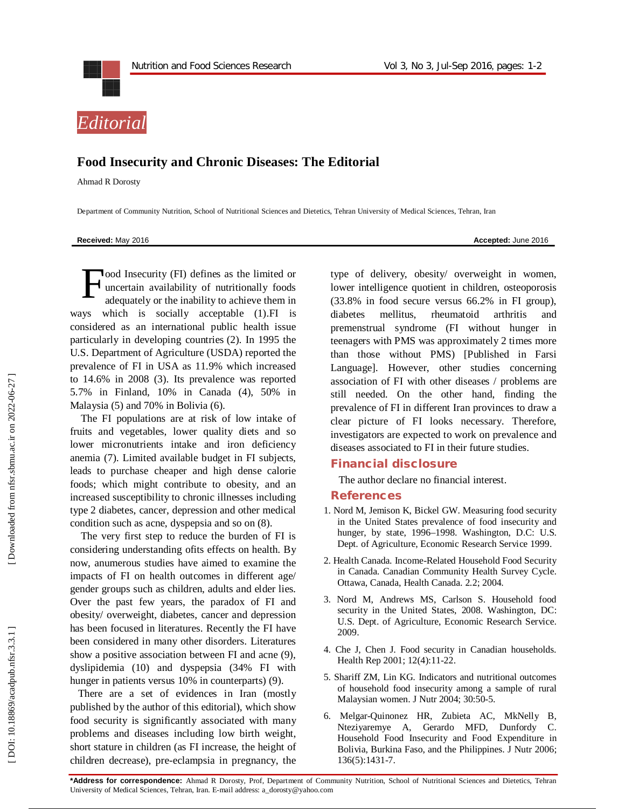



## **Food Insecurity and Chronic Diseases: The Editorial**

Ahmad R Dorosty

Department of Community Nutrition, School of Nutritional Sciences and Dietetics, Tehran University of Medical Sciences, Tehran, Iran

**Received:** May 201

6 **Accepted:** June 201 6

ood Insecurity (FI) defines as the limited or uncertain availability of nutritionally foods adequately or the inability to achieve them in ways which is socially acceptable (1).FI is considered as an international public health issue particularly in developing countries (2). In 1995 the U.S. Department of Agriculture (USDA) reported the prevalence of FI in USA as 11.9% which increased to 14.6% in 2008 (3). Its prevalence was reported 5.7% in Finland, 10% in Canada (4), 50% in Malaysia (5) and 70% in Bolivia (6). F

The FI populations are at risk of low intake of fruits and vegetables, lower quality diets and so lower micronutrients intake and iron deficiency anemia (7). Limited available budget in FI subjects, leads to purchase cheaper and high dense calorie foods; which might contribute to obesity, and an increased susceptibility to chronic illnesses including type 2 diabetes, cancer, depression and other medical condition such as acne, dyspepsia and so on (8).

The very first step to reduce the burden of FI is considering understanding ofits effects on health. By now, anumerous studies have aimed to examine the impacts of FI on health outcomes in different age/ gender groups such as children, adults and elder lies. Over the past few years, the paradox of FI and obesity/ overweight, diabetes, cancer and depression has been focused in literatures. Recently the FI have been considered in many other disorders. Literatures show a positive association between FI and acne (9), dyslipidemia (10) and dyspepsia (34% FI with hunger in patients versus 10% in counterparts) (9).

There are a set of evidences in Iran (mostly published by the author of this editorial), which show food security is significantly associated with many problems and diseases including low birth weight, short stature in children (as FI increase, the height of children decrease), pre -eclampsia in pregnancy, the type of delivery, obesity/ overweight in women, lower intelligence quotient in children, osteoporosis (33.8% in food secure versus 66.2% in FI group), diabetes mellitus, rheumatoid arthritis and premenstrual syndrome (FI without hunger in teenagers with PMS was approximately 2 times more than those without PMS) [Published in Farsi Language]. However, other studies concerning association of FI with other diseases / problems are still needed. On the other hand, finding the prevalence of FI in different Iran provinces to draw a clear picture of FI looks necessary. Therefore, investigators are expected to work on prevalence and diseases associated to FI in their future studies.

## **Financial disclosure**

The author declare no financial interest.

## **References**

- 1. Nord M, Jemison K, Bickel GW. Measuring food security in the United States prevalence of food insecurity and hunger, by state, 1996 –1998. Washington, D.C: U.S. Dept. of Agriculture, Economic Research Service 1999.
- 2. Health Canada. Income -Related Household Food Security in Canada. Canadian Community Health Survey Cycle. Ottawa, Canada, Health Canada. 2.2; 2004.
- 3. Nord M, Andrews MS, Carlson S. Household food security in the United States, 2008. Washington, DC: U.S. Dept. of Agriculture, Economic Research Service. 2009.
- 4. Che J, Chen J. Food security in Canadian households. Health Rep 2001; 12(4):11 -22.
- 5. Shariff ZM, Lin KG. Indicators and nutritional outcomes of household food insecurity among a sample of rural Malaysian women. J Nutr 2004; 30:50 -5.
- 6. Melgar -Quinonez HR, Zubieta AC, MkNelly B, Nteziyaremye A, Gerardo MFD, Dunfordy C. Household Food Insecurity and Food Expenditure in Bolivia, Burkina Faso, and the Philippines. J Nutr 2006; 136(5):1431 -7.

**\*Address for correspondence:** Ahmad R Dorosty , Prof, Department of Community Nutrition, School of Nutritional Sciences and Dietetics, Tehran University of Medical Sciences , Tehran, Iran. E -mail address: a\_dorosty@yahoo.com